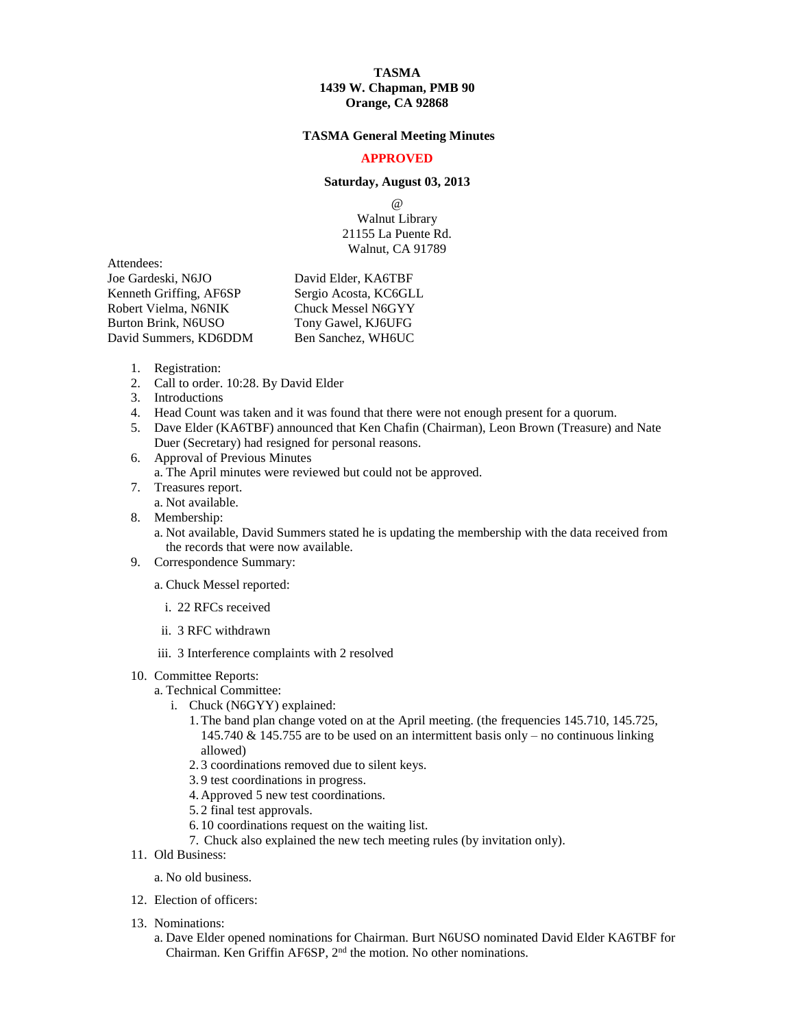# **TASMA 1439 W. Chapman, PMB 90 Orange, CA 92868**

# **TASMA General Meeting Minutes**

# **APPROVED**

### **Saturday, August 03, 2013**

 $\omega$ Walnut Library 21155 La Puente Rd.

Walnut, CA 91789

Attendees:

Joe Gardeski, N6JO David Elder, KA6TBF Kenneth Griffing, AF6SP Sergio Acosta, KC6GLL Robert Vielma, N6NIK Chuck Messel N6GYY Burton Brink, N6USO Tony Gawel, KJ6UFG David Summers, KD6DDM Ben Sanchez, WH6UC

- 1. Registration:
- 2. Call to order. 10:28. By David Elder
- 3. Introductions
- 4. Head Count was taken and it was found that there were not enough present for a quorum.
- 5. Dave Elder (KA6TBF) announced that Ken Chafin (Chairman), Leon Brown (Treasure) and Nate Duer (Secretary) had resigned for personal reasons.
- 6. Approval of Previous Minutes
	- a. The April minutes were reviewed but could not be approved.
- 7. Treasures report.
	- a. Not available.
- 8. Membership:
	- a. Not available, David Summers stated he is updating the membership with the data received from the records that were now available.
- 9. Correspondence Summary:

a. Chuck Messel reported:

- i. 22 RFCs received
- ii. 3 RFC withdrawn
- iii. 3 Interference complaints with 2 resolved

#### 10. Committee Reports:

- a. Technical Committee:
	- i. Chuck (N6GYY) explained:
		- 1.The band plan change voted on at the April meeting. (the frequencies 145.710, 145.725, 145.740 & 145.755 are to be used on an intermittent basis only – no continuous linking allowed)
		- 2. 3 coordinations removed due to silent keys.
		- 3. 9 test coordinations in progress.
		- 4. Approved 5 new test coordinations.
		- 5. 2 final test approvals.
		- 6. 10 coordinations request on the waiting list.
		- 7. Chuck also explained the new tech meeting rules (by invitation only).
- 11. Old Business:

a. No old business.

- 12. Election of officers:
- 13. Nominations:
	- a. Dave Elder opened nominations for Chairman. Burt N6USO nominated David Elder KA6TBF for Chairman. Ken Griffin AF6SP, 2<sup>nd</sup> the motion. No other nominations.